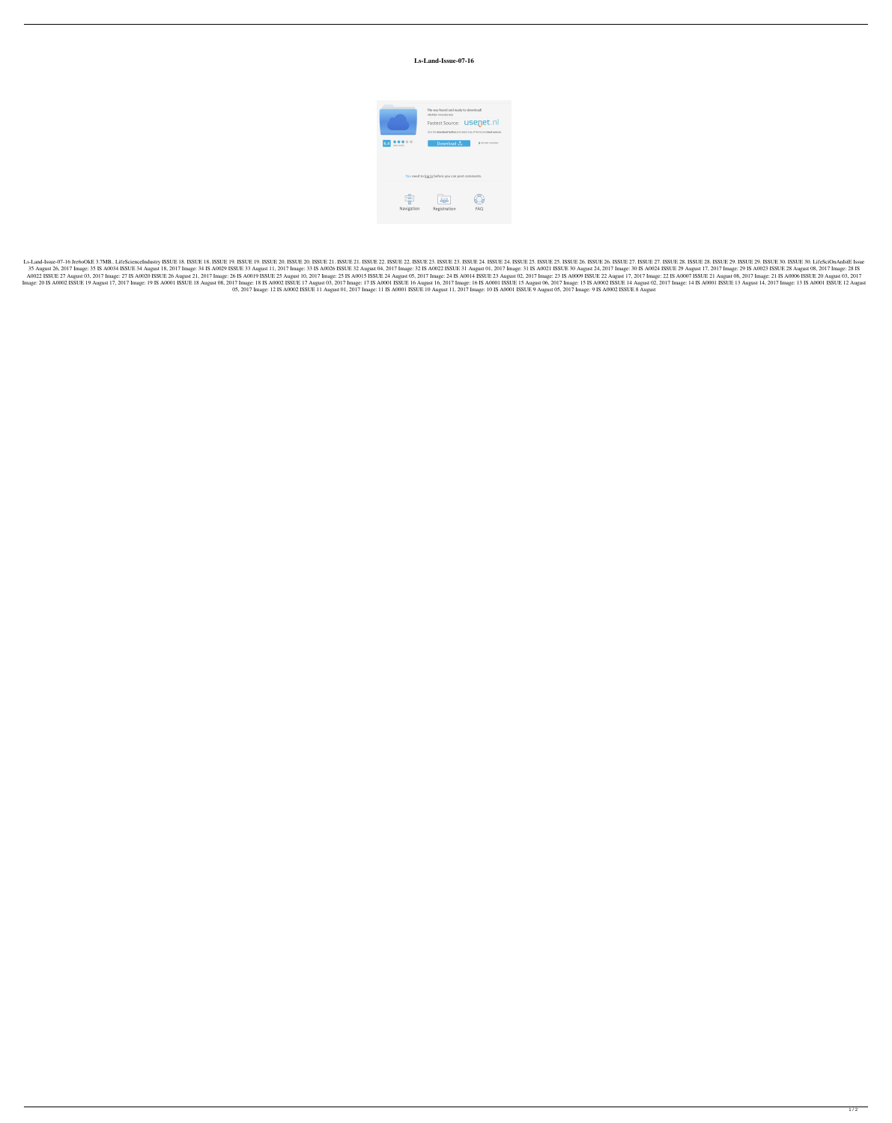## **Ls-Land-Issue-07-16**



2. ISSUE 27. ISSUE 27. ISSUE 28. ISSUE 28. ISSUE 29. ISSUE 3.7 ISSUE 15. ISSUE 19. ISSUE 19. ISSUE 19. ISSUE 19. ISSUE 22. ISSUE 22. ISSUE 22. ISSUE 24. ISSUE 25. ISSUE 26. ISSUE 27. ISSUE 27. ISSUE 27. ISSUE 28. ISSUE 28. 35 August 26, 2017 Image: 35 IS A0034 ISSUE 34 August 18, 2017 Image: 34 IS A0029 ISSUE 33 August 11, 2017 Image: 33 IS A0026 ISSUE 32 August 04, 2017 Image: 32 IS A0022 ISSUE 31 August 04, 2017 Image: 31 IS A0021 ISSUE 29 21 SA0022 1SSUE 27 August 03, 2017 Image: 27 IS A0020 ISSUE 26 August 21, 2017 Image: 26 IS A0019 ISSUE 25 August 10, 2017 Image: 25 IS A0015 ISSUE 24 August 05, 2017 Image: 23 IS A0009 ISSUE 22 August 17, 2017 Image: 22 I Image: 20 IS A0002 ISSUE 19 August 17, 2017 Image: 19 IS A0001 ISSUE 18 August 08, 2017 Image: 18 IS A0002 ISSUE 17 August 03, 2017 Image: 17 IS A0001 ISSUE 16 August 06, 2017 Image: 16 IS A0001 ISSUE 15 August 06, 2017 Im 05, 2017 Image: 12 IS A0002 ISSUE 11 August 01, 2017 Image: 11 IS A0001 ISSUE 10 August 11, 2017 Image: 10 IS A0001 ISSUE 9 August 05, 2017 Image: 9 IS A0002 ISSUE 8 August

 $1/2$